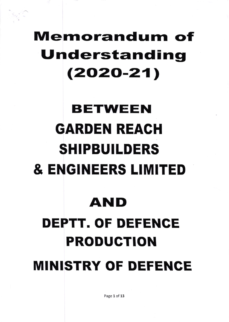## **Memorandum of** Understanding  $(2020-21)$

# **BETWEEN GARDEN REACH SHIPBUILDERS & ENGINEERS LIMITED**

### AND

## **DEPTT. OF DEFENCE PRODUCTION MINISTRY OF DEFENCE**

Page 1 of 13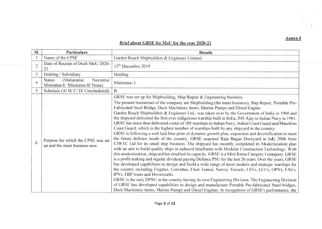#### Brief about GRSE for MoU for the year 2020-21

| Sl.            | <b>Particulars</b>                                                            | <b>Details</b>                                                                                                                                                                                                                                                                                                                                                                                                                                                                                                                                                                                                                                                                                                                                                                                                                                                                                                                                                                                                                                                                                                                                                                                                                                                                                                                                                                                                                                                                                                                                                                                                                                                                                                                                                                                                                                                                                       |  |  |
|----------------|-------------------------------------------------------------------------------|------------------------------------------------------------------------------------------------------------------------------------------------------------------------------------------------------------------------------------------------------------------------------------------------------------------------------------------------------------------------------------------------------------------------------------------------------------------------------------------------------------------------------------------------------------------------------------------------------------------------------------------------------------------------------------------------------------------------------------------------------------------------------------------------------------------------------------------------------------------------------------------------------------------------------------------------------------------------------------------------------------------------------------------------------------------------------------------------------------------------------------------------------------------------------------------------------------------------------------------------------------------------------------------------------------------------------------------------------------------------------------------------------------------------------------------------------------------------------------------------------------------------------------------------------------------------------------------------------------------------------------------------------------------------------------------------------------------------------------------------------------------------------------------------------------------------------------------------------------------------------------------------------|--|--|
|                | Name of the CPSE                                                              | Garden Reach Shipbuilders & Engineers Limited                                                                                                                                                                                                                                                                                                                                                                                                                                                                                                                                                                                                                                                                                                                                                                                                                                                                                                                                                                                                                                                                                                                                                                                                                                                                                                                                                                                                                                                                                                                                                                                                                                                                                                                                                                                                                                                        |  |  |
| $\overline{2}$ | Date of Receipt of Draft MoU 2020-<br>21                                      | 13 <sup>th</sup> December 2019                                                                                                                                                                                                                                                                                                                                                                                                                                                                                                                                                                                                                                                                                                                                                                                                                                                                                                                                                                                                                                                                                                                                                                                                                                                                                                                                                                                                                                                                                                                                                                                                                                                                                                                                                                                                                                                                       |  |  |
| 3              | Holding / Subsidiary                                                          | Holding                                                                                                                                                                                                                                                                                                                                                                                                                                                                                                                                                                                                                                                                                                                                                                                                                                                                                                                                                                                                                                                                                                                                                                                                                                                                                                                                                                                                                                                                                                                                                                                                                                                                                                                                                                                                                                                                                              |  |  |
| 4              | (Maharatna/<br>Navratna/<br><b>Status</b><br>Miniratna-I/ Miniratna-II/ None) | Miniratna-I                                                                                                                                                                                                                                                                                                                                                                                                                                                                                                                                                                                                                                                                                                                                                                                                                                                                                                                                                                                                                                                                                                                                                                                                                                                                                                                                                                                                                                                                                                                                                                                                                                                                                                                                                                                                                                                                                          |  |  |
| 5              | Schedule (A/ B/ C/ D/ Unscheduled)                                            | B                                                                                                                                                                                                                                                                                                                                                                                                                                                                                                                                                                                                                                                                                                                                                                                                                                                                                                                                                                                                                                                                                                                                                                                                                                                                                                                                                                                                                                                                                                                                                                                                                                                                                                                                                                                                                                                                                                    |  |  |
| 6              | Purpose for which the CPSE was set<br>up and the main business now            | GRSE was set up for Shipbuilding, Ship Repair & Engineering business.<br>The present businesses of the company are Shipbuilding (the main business), Ship Repair, Portable Pre-<br>Fabricated Steel Bridge, Deck Machinery items, Marine Pumps and Diesel Engine.<br>Garden Reach Shipbuilders & Engineers Ltd., was taken over by the Government of India in 1960 and<br>the shipyard delivered the first ever indigenous warship built in India, INS Ajay to Indian Navy in 1961.<br>GRSE has since then delivered a total of 105 warships to Indian Navy, Indian Coast Guard and Mauritius<br>Coast Guard, which is the highest number of warships built by any shipyard in the country.<br>GRSE is following a well laid blue print of dynamic growth plan, expansion and diversification to meet<br>the future defence needs of the country. GRSE acquired Raja Bagan Dockyard in July 2006 from<br>CIWTC Ltd for its small ship business. The shipyard has recently completed its Modernization plan<br>with an aim to build quality ships in reduced timeframe with Modular Construction Technology. With<br>this modernisation, shipyard has doubled its capacity. GRSE is a Mini Ratna Category I company. GRSE<br>is a profit making and regular dividend paying Defence PSU for the last 26 years. Over the years, GRSE<br>has developed capabilities to design and build a wide range of most modern and strategic warships for<br>the country including Frigates, Corvettes, Fleet Tanker, Survey Vessels, LSTs, LCUs, OPVs, FACs,<br>IPVs, FRP boats and Hovercrafts.<br>GRSE is the only DPSU in the country having its own Engineering Division. The Engineering Division<br>of GRSE has developed capabilities to design and manufacture Portable Pre-fabricated Steel bridges,<br>Deck Machinery items, Marine Pumps and Diesel Engines. In recognition of GRSE's performance, the |  |  |

 $\lambda$ 

 $\ell$